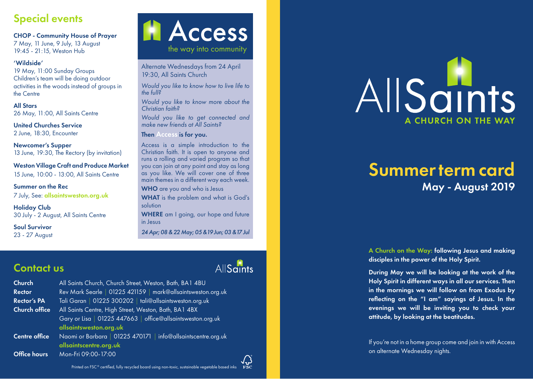### Special events

CHOP - Community House of Prayer

7 May, 11 June, 9 July, 13 August 19:45 - 21:15, Weston Hub

#### 'Wildside'

19 May, 11:00 Sunday Groups Children's team will be doing outdoor activities in the woods instead of groups in the Centre

All Stars 26 May, 11:00, All Saints Centre

United Churches Service 2 June, 18:30, Encounter

Newcomer's Supper 13 June, 19:30, The Rectory (by invitation)

Weston Village Craft and Produce Market 15 June, 10:00 - 13:00, All Saints Centre

Summer on the Rec 7 July, See: allsaintsweston.org.uk

Holiday Club 30 July - 2 August, All Saints Centre

Soul Survivor 23 - 27 August **A** Access the way into community

Alternate Wednesdays from 24 April 19:30, All Saints Church

*Would you like to know how to live life to the full?*

*Would you like to know more about the Christian faith?*

*Would you like to get connected and make new friends at All Saints?*

Then Access is for you.

Access is a simple introduction to the Christian faith. It is open to anyone and runs a rolling and varied program so that you can join at any point and stay as long as you like. We will cover one of three main themes in a different way each week.

WHO are you and who is Jesus WHAT is the problem and what is God's solution WHERE am I going, our hope and future in Jesus

*24 Apr; 08 & 22 May; 05 &19 Jun; 03 &17 Jul*

### Contact us

| <b>Church</b><br><b>Rector</b><br><b>Rector's PA</b> | All Saints Church, Church Street, Weston, Bath, BA1 4BU<br>Rev Mark Searle   01225 421159   mark@allsaintsweston.org.uk<br>Tali Garan   01225 300202   tali@allsaintsweston.org.uk |  |  |
|------------------------------------------------------|------------------------------------------------------------------------------------------------------------------------------------------------------------------------------------|--|--|
|                                                      |                                                                                                                                                                                    |  |  |
| <b>Church office</b>                                 | All Saints Centre, High Street, Weston, Bath, BA1 4BX                                                                                                                              |  |  |
|                                                      | Gary or Lisa   01225 447663   office@allsaintsweston.org.uk<br>allsaintsweston.org.uk                                                                                              |  |  |
| <b>Centre office</b>                                 | Naomi or Barbara   01225 470171   info@allsaintscentre.org.uk<br>allsaintscentre.org.uk                                                                                            |  |  |
| <b>Office hours</b>                                  | Mon-Fri 09:00-17:00                                                                                                                                                                |  |  |

Printed on FSC ® certified, fully recycled board using non-toxic, sustainable vegetable based inks



# Summer term card May - August 2019

A Church on the Way: following Jesus and making disciples in the power of the Holy Spirit.

During May we will be looking at the work of the Holy Spirit in different ways in all our services. Then in the mornings we will follow on from Exodus by reflecting on the "I am" sayings of Jesus. In the evenings we will be inviting you to check your attitude, by looking at the beatitudes.

If you're not in a home group come and join in with Access on alternate Wednesday nights.

# AllSaints

 $\sqrt{v_{\rm esc}}$